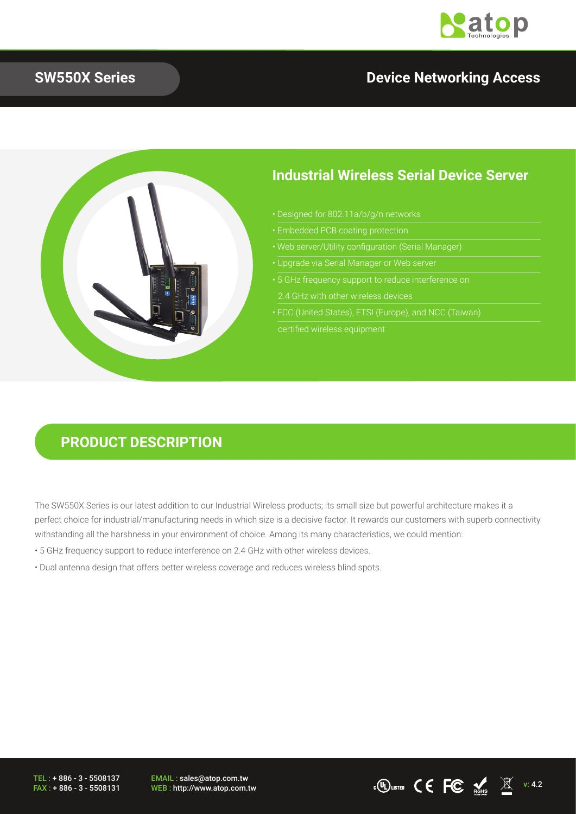

### **SW550X Series Device Networking Access**



### **Industrial Wireless Serial Device Server**

- 
- Embedded PCB coating protection
- Web server/Utility configuration (Serial Manager)
- Upgrade via Serial Manager or Web server
- 5 GHz frequency support to reduce interference on
- certified wireless equipment

## **PRODUCT DESCRIPTION**

The SW550X Series is our latest addition to our Industrial Wireless products; its small size but powerful architecture makes it a perfect choice for industrial/manufacturing needs in which size is a decisive factor. It rewards our customers with superb connectivity withstanding all the harshness in your environment of choice. Among its many characteristics, we could mention:

- 5 GHz frequency support to reduce interference on 2.4 GHz with other wireless devices.
- Dual antenna design that offers better wireless coverage and reduces wireless blind spots.

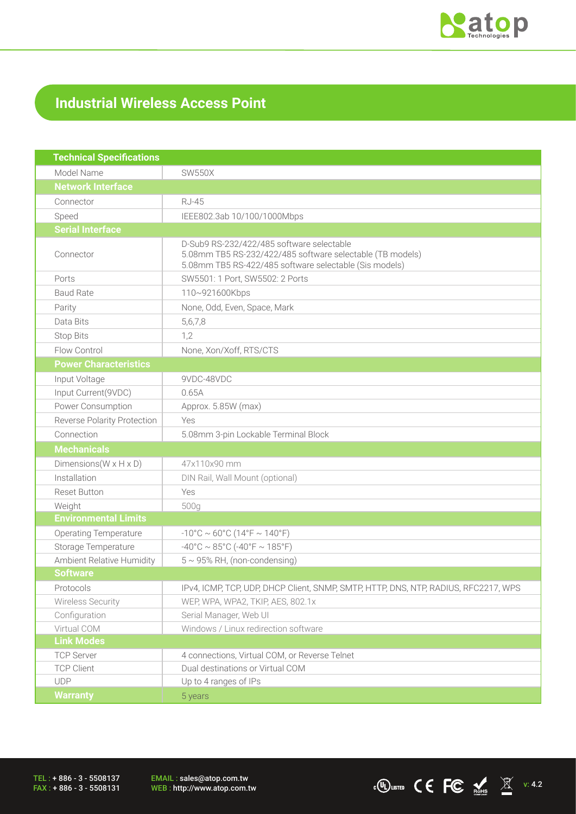

## **Industrial Wireless Access Point**

| <b>Technical Specifications</b>      |                                                                                                                                                                  |  |  |
|--------------------------------------|------------------------------------------------------------------------------------------------------------------------------------------------------------------|--|--|
| Model Name                           | <b>SW550X</b>                                                                                                                                                    |  |  |
| <b>Network Interface</b>             |                                                                                                                                                                  |  |  |
| Connector                            | <b>RJ-45</b>                                                                                                                                                     |  |  |
| Speed                                | IEEE802.3ab 10/100/1000Mbps                                                                                                                                      |  |  |
| <b>Serial Interface</b>              |                                                                                                                                                                  |  |  |
| Connector                            | D-Sub9 RS-232/422/485 software selectable<br>5.08mm TB5 RS-232/422/485 software selectable (TB models)<br>5.08mm TB5 RS-422/485 software selectable (Sis models) |  |  |
| Ports                                | SW5501: 1 Port, SW5502: 2 Ports                                                                                                                                  |  |  |
| <b>Baud Rate</b>                     | 110~921600Kbps                                                                                                                                                   |  |  |
| Parity                               | None, Odd, Even, Space, Mark                                                                                                                                     |  |  |
| Data Bits                            | 5,6,7,8                                                                                                                                                          |  |  |
| <b>Stop Bits</b>                     | 1,2                                                                                                                                                              |  |  |
| Flow Control                         | None, Xon/Xoff, RTS/CTS                                                                                                                                          |  |  |
| <b>Power Characteristics</b>         |                                                                                                                                                                  |  |  |
| Input Voltage                        | 9VDC-48VDC                                                                                                                                                       |  |  |
| Input Current(9VDC)                  | 0.65A                                                                                                                                                            |  |  |
| Power Consumption                    | Approx. 5.85W (max)                                                                                                                                              |  |  |
| Reverse Polarity Protection          | Yes                                                                                                                                                              |  |  |
| Connection                           | 5.08mm 3-pin Lockable Terminal Block                                                                                                                             |  |  |
| <b>Mechanicals</b>                   |                                                                                                                                                                  |  |  |
| Dimensions ( $W \times H \times D$ ) | 47x110x90 mm                                                                                                                                                     |  |  |
| Installation                         | DIN Rail, Wall Mount (optional)                                                                                                                                  |  |  |
| <b>Reset Button</b>                  | Yes                                                                                                                                                              |  |  |
| Weight                               | 500g                                                                                                                                                             |  |  |
| <b>Environmental Limits</b>          |                                                                                                                                                                  |  |  |
| <b>Operating Temperature</b>         | $-10^{\circ}$ C ~ 60°C (14°F ~ 140°F)                                                                                                                            |  |  |
| Storage Temperature                  | $-40^{\circ}$ C ~ 85°C (-40°F ~ 185°F)                                                                                                                           |  |  |
| Ambient Relative Humidity            | $5 \sim 95\%$ RH, (non-condensing)                                                                                                                               |  |  |
| <b>Software</b>                      |                                                                                                                                                                  |  |  |
| Protocols                            | IPv4, ICMP, TCP, UDP, DHCP Client, SNMP, SMTP, HTTP, DNS, NTP, RADIUS, RFC2217, WPS                                                                              |  |  |
| Wireless Security                    | WEP, WPA, WPA2, TKIP, AES, 802.1x                                                                                                                                |  |  |
| Configuration                        | Serial Manager, Web UI                                                                                                                                           |  |  |
| Virtual COM                          | Windows / Linux redirection software                                                                                                                             |  |  |
| <b>Link Modes</b>                    |                                                                                                                                                                  |  |  |
| <b>TCP Server</b>                    | 4 connections, Virtual COM, or Reverse Telnet                                                                                                                    |  |  |
| <b>TCP Client</b>                    | Dual destinations or Virtual COM                                                                                                                                 |  |  |
| <b>UDP</b>                           | Up to 4 ranges of IPs                                                                                                                                            |  |  |
| <b>Warranty</b>                      | 5 years                                                                                                                                                          |  |  |

TEL : + 886 - 3 - 5508137 FAX : + 886 - 3 - 5508131 EMAIL : sales@atop.com.tw<br>WEB : http://www.atop.com.tw

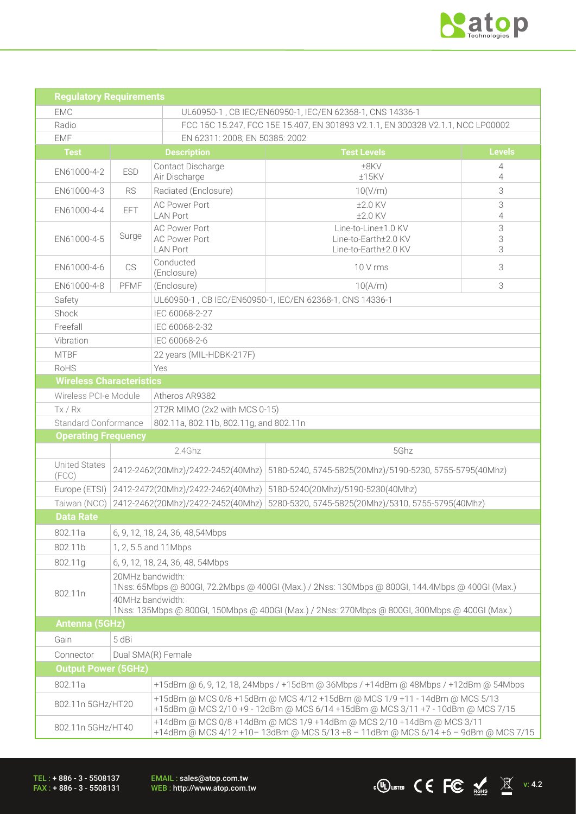

 $\overline{\text{C}}$   $\overline{\text{C}}$   $\overline{\text{C}}$   $\overline{\text{C}}$   $\overline{\text{C}}$   $\overline{\text{C}}$   $\overline{\text{C}}$   $\overline{\text{C}}$   $\overline{\text{C}}$   $\overline{\text{C}}$   $\overline{\text{C}}$   $\overline{\text{C}}$   $\overline{\text{C}}$   $\overline{\text{C}}$   $\overline{\text{C}}$   $\overline{\text{C}}$   $\overline{\text{C}}$   $\overline{\text{C}}$   $\overline{\text{C}}$   $\overline{\text{C}}$ 

| <b>Regulatory Requirements</b>                                                                                                                                                                                                                      |                                                                                         |                                                                                                                                                            |                                                                                                                                                               |                     |  |  |  |
|-----------------------------------------------------------------------------------------------------------------------------------------------------------------------------------------------------------------------------------------------------|-----------------------------------------------------------------------------------------|------------------------------------------------------------------------------------------------------------------------------------------------------------|---------------------------------------------------------------------------------------------------------------------------------------------------------------|---------------------|--|--|--|
| EMC                                                                                                                                                                                                                                                 |                                                                                         |                                                                                                                                                            | UL60950-1, CB IEC/EN60950-1, IEC/EN 62368-1, CNS 14336-1                                                                                                      |                     |  |  |  |
| Radio                                                                                                                                                                                                                                               |                                                                                         |                                                                                                                                                            | FCC 15C 15.247, FCC 15E 15.407, EN 301893 V2.1.1, EN 300328 V2.1.1, NCC LP00002                                                                               |                     |  |  |  |
| <b>EMF</b>                                                                                                                                                                                                                                          |                                                                                         | EN 62311: 2008, EN 50385: 2002                                                                                                                             |                                                                                                                                                               |                     |  |  |  |
| <b>Test</b>                                                                                                                                                                                                                                         |                                                                                         | <b>Description</b>                                                                                                                                         | <b>Test Levels</b>                                                                                                                                            | <b>Levels</b>       |  |  |  |
| EN61000-4-2                                                                                                                                                                                                                                         | <b>ESD</b>                                                                              | Contact Discharge<br>Air Discharge                                                                                                                         | ±8KV<br>±15KV                                                                                                                                                 | 4<br>4              |  |  |  |
| EN61000-4-3                                                                                                                                                                                                                                         | <b>RS</b>                                                                               | Radiated (Enclosure)                                                                                                                                       | 3<br>10(V/m)                                                                                                                                                  |                     |  |  |  |
| EN61000-4-4                                                                                                                                                                                                                                         | EFT                                                                                     | <b>AC Power Port</b><br><b>LAN Port</b>                                                                                                                    | ±2.0 KV<br>±2.0 KV                                                                                                                                            | 3<br>$\overline{4}$ |  |  |  |
| EN61000-4-5                                                                                                                                                                                                                                         | Surge                                                                                   | <b>AC Power Port</b><br><b>AC Power Port</b><br><b>LAN Port</b>                                                                                            | Line-to-Line±1.0 KV<br>Line-to-Earth±2.0 KV<br>Line-to-Earth±2.0 KV                                                                                           | 3<br>3<br>3         |  |  |  |
| EN61000-4-6                                                                                                                                                                                                                                         | CS                                                                                      | Conducted<br>(Enclosure)                                                                                                                                   | 10 V rms                                                                                                                                                      | 3                   |  |  |  |
| EN61000-4-8                                                                                                                                                                                                                                         | PFMF                                                                                    | (Enclosure)                                                                                                                                                | 10(A/m)                                                                                                                                                       | 3                   |  |  |  |
| Safety                                                                                                                                                                                                                                              |                                                                                         |                                                                                                                                                            | UL60950-1, CB IEC/EN60950-1, IEC/EN 62368-1, CNS 14336-1                                                                                                      |                     |  |  |  |
| Shock                                                                                                                                                                                                                                               |                                                                                         | IEC 60068-2-27                                                                                                                                             |                                                                                                                                                               |                     |  |  |  |
| Freefall                                                                                                                                                                                                                                            |                                                                                         | IEC 60068-2-32                                                                                                                                             |                                                                                                                                                               |                     |  |  |  |
| Vibration                                                                                                                                                                                                                                           |                                                                                         | IEC 60068-2-6                                                                                                                                              |                                                                                                                                                               |                     |  |  |  |
| <b>MTBF</b>                                                                                                                                                                                                                                         |                                                                                         | 22 years (MIL-HDBK-217F)                                                                                                                                   |                                                                                                                                                               |                     |  |  |  |
| RoHS                                                                                                                                                                                                                                                |                                                                                         | Yes                                                                                                                                                        |                                                                                                                                                               |                     |  |  |  |
| <b>Wireless Characteristics</b>                                                                                                                                                                                                                     |                                                                                         |                                                                                                                                                            |                                                                                                                                                               |                     |  |  |  |
| Wireless PCI-e Module                                                                                                                                                                                                                               |                                                                                         | Atheros AR9382                                                                                                                                             |                                                                                                                                                               |                     |  |  |  |
| Tx / Rx                                                                                                                                                                                                                                             |                                                                                         | 2T2R MIMO (2x2 with MCS 0-15)                                                                                                                              |                                                                                                                                                               |                     |  |  |  |
| <b>Standard Conformance</b>                                                                                                                                                                                                                         |                                                                                         | 802.11a, 802.11b, 802.11g, and 802.11n                                                                                                                     |                                                                                                                                                               |                     |  |  |  |
| <b>Operating Frequency</b>                                                                                                                                                                                                                          |                                                                                         |                                                                                                                                                            |                                                                                                                                                               |                     |  |  |  |
|                                                                                                                                                                                                                                                     |                                                                                         | 2.4Ghz                                                                                                                                                     | 5Ghz                                                                                                                                                          |                     |  |  |  |
| <b>United States</b><br>(FCC)                                                                                                                                                                                                                       |                                                                                         |                                                                                                                                                            | 2412-2462(20Mhz)/2422-2452(40Mhz)   5180-5240, 5745-5825(20Mhz)/5190-5230, 5755-5795(40Mhz)                                                                   |                     |  |  |  |
| Europe (ETSI)                                                                                                                                                                                                                                       | 2412-2472(20Mhz)/2422-2462(40Mhz)                                                       |                                                                                                                                                            | 5180-5240(20Mhz)/5190-5230(40Mhz)                                                                                                                             |                     |  |  |  |
| Taiwan (NCC)                                                                                                                                                                                                                                        | 5280-5320, 5745-5825(20Mhz)/5310, 5755-5795(40Mhz)<br>2412-2462(20Mhz)/2422-2452(40Mhz) |                                                                                                                                                            |                                                                                                                                                               |                     |  |  |  |
| <b>Data Rate</b>                                                                                                                                                                                                                                    |                                                                                         |                                                                                                                                                            |                                                                                                                                                               |                     |  |  |  |
| 802.11a                                                                                                                                                                                                                                             |                                                                                         | 6, 9, 12, 18, 24, 36, 48, 54 Mbps                                                                                                                          |                                                                                                                                                               |                     |  |  |  |
| 802.11b                                                                                                                                                                                                                                             |                                                                                         | 1, 2, 5.5 and 11Mbps                                                                                                                                       |                                                                                                                                                               |                     |  |  |  |
| 802.11g                                                                                                                                                                                                                                             | 6, 9, 12, 18, 24, 36, 48, 54Mbps                                                        |                                                                                                                                                            |                                                                                                                                                               |                     |  |  |  |
| 20MHz bandwidth:<br>1Nss: 65Mbps @ 800Gl, 72.2Mbps @ 400Gl (Max.) / 2Nss: 130Mbps @ 800Gl, 144.4Mbps @ 400Gl (Max.)<br>802.11n<br>40MHz bandwidth:<br>1Nss: 135Mbps @ 800Gl, 150Mbps @ 400Gl (Max.) / 2Nss: 270Mbps @ 800Gl, 300Mbps @ 400Gl (Max.) |                                                                                         |                                                                                                                                                            |                                                                                                                                                               |                     |  |  |  |
| Antenna (5GHz)                                                                                                                                                                                                                                      |                                                                                         |                                                                                                                                                            |                                                                                                                                                               |                     |  |  |  |
| 5 dBi<br>Gain                                                                                                                                                                                                                                       |                                                                                         |                                                                                                                                                            |                                                                                                                                                               |                     |  |  |  |
| Connector                                                                                                                                                                                                                                           | Dual SMA(R) Female                                                                      |                                                                                                                                                            |                                                                                                                                                               |                     |  |  |  |
| <b>Output Power (5GHz)</b>                                                                                                                                                                                                                          |                                                                                         |                                                                                                                                                            |                                                                                                                                                               |                     |  |  |  |
| 802.11a                                                                                                                                                                                                                                             |                                                                                         |                                                                                                                                                            | +15dBm @ 6, 9, 12, 18, 24Mbps / +15dBm @ 36Mbps / +14dBm @ 48Mbps / +12dBm @ 54Mbps                                                                           |                     |  |  |  |
|                                                                                                                                                                                                                                                     | 802.11n 5GHz/HT20                                                                       |                                                                                                                                                            | +15dBm @ MCS 0/8 +15dBm @ MCS 4/12 +15dBm @ MCS 1/9 +11 - 14dBm @ MCS 5/13<br>+15dBm @ MCS 2/10 +9 - 12dBm @ MCS 6/14 +15dBm @ MCS 3/11 +7 - 10dBm @ MCS 7/15 |                     |  |  |  |
| 802.11n 5GHz/HT40                                                                                                                                                                                                                                   |                                                                                         | +14dBm @ MCS 0/8 +14dBm @ MCS 1/9 +14dBm @ MCS 2/10 +14dBm @ MCS 3/11<br>+14dBm @ MCS 4/12 +10-13dBm @ MCS 5/13 +8 - 11dBm @ MCS 6/14 +6 - 9dBm @ MCS 7/15 |                                                                                                                                                               |                     |  |  |  |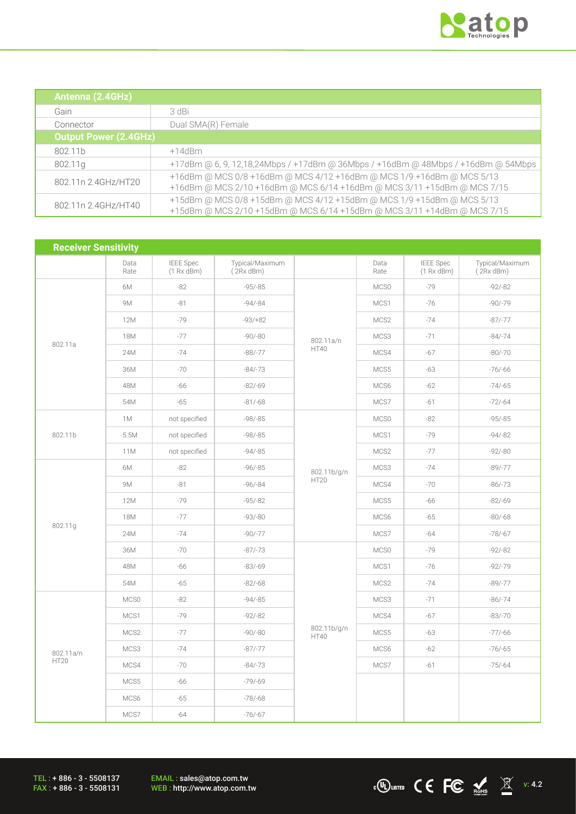

 $\overline{\text{C}}$   $\overline{\text{C}}$   $\overline{\text{C}}$   $\overline{\text{C}}$   $\overline{\text{C}}$   $\overline{\text{C}}$   $\overline{\text{C}}$   $\overline{\text{C}}$   $\overline{\text{C}}$   $\overline{\text{C}}$   $\overline{\text{C}}$   $\overline{\text{C}}$   $\overline{\text{C}}$   $\overline{\text{C}}$   $\overline{\text{C}}$   $\overline{\text{C}}$   $\overline{\text{C}}$   $\overline{\text{C}}$   $\overline{\text{C}}$   $\overline{\text{C}}$ 

| Antenna (2.4GHz)             |                                                                                                                                                  |
|------------------------------|--------------------------------------------------------------------------------------------------------------------------------------------------|
| Gain                         | 3 dBi                                                                                                                                            |
| Connector                    | Dual SMA(R) Female                                                                                                                               |
| <b>Output Power (2.4GHz)</b> |                                                                                                                                                  |
| 802.11b                      | $+14$ d $\mathrm{Bm}$                                                                                                                            |
| 802.11g                      | +17dBm @ 6, 9, 12,18,24Mbps / +17dBm @ 36Mbps / +16dBm @ 48Mbps / +16dBm @ 54Mbps                                                                |
| 802.11n 2.4GHz/HT20          | +16dBm @ MCS 0/8 +16dBm @ MCS 4/12 +16dBm @ MCS 1/9 +16dBm @ MCS 5/13<br>+16dBm @ MCS 2/10 +16dBm @ MCS 6/14 +16dBm @ MCS 3/11 +15dBm @ MCS 7/15 |
| 802.11n 2.4GHz/HT40          | +15dBm @ MCS 0/8 +15dBm @ MCS 4/12 +15dBm @ MCS 1/9 +15dBm @ MCS 5/13<br>+15dBm @ MCS 2/10 +15dBm @ MCS 6/14 +15dBm @ MCS 3/11 +14dBm @ MCS 7/15 |

| <b>Receiver Sensitivity</b> |              |                                |                                   |                            |              |                                |                              |
|-----------------------------|--------------|--------------------------------|-----------------------------------|----------------------------|--------------|--------------------------------|------------------------------|
|                             | Data<br>Rate | <b>IEEE</b> Spec<br>(1 Rx dBm) | Typical/Maximum<br>$(2Rx$ dBm $)$ |                            | Data<br>Rate | <b>IEEE</b> Spec<br>(1 Rx dBm) | Typical/Maximum<br>(2Rx dBm) |
| 802.11a                     | 6M           | $-82$                          | $-95/-85$                         |                            | MCS0         | $-79$                          | $-92/-82$                    |
|                             | <b>9M</b>    | $-81$                          | $-94/-84$                         | 802.11a/n<br><b>HT40</b>   | MCS1         | $-76$                          | $-90/-79$                    |
|                             | 12M          | $-79$                          | $-93/+82$                         |                            | MCS2         | $-74$                          | $-87/-77$                    |
|                             | <b>18M</b>   | $-77$                          | $-90/-80$                         |                            | MCS3         | $-71$                          | $-84/-74$                    |
|                             | 24M          | $-74$                          | $-88/-77$                         |                            | MCS4         | $-67$                          | $-80/-70$                    |
|                             | 36M          | $-70$                          | $-84/-73$                         |                            | MCS5         | $-63$                          | $-76/-66$                    |
|                             | 48M          | $-66$                          | $-82/-69$                         |                            | MCS6         | $-62$                          | $-74/-65$                    |
|                             | 54M          | $-65$                          | $-81/-68$                         |                            | MCS7         | $-61$                          | $-72/-64$                    |
|                             | 1M           | not specified                  | $-98/-85$                         |                            | MCS0         | $-82$                          | $-95/-85$                    |
| 802.11b                     | 5.5M         | not specified                  | $-98/-85$                         |                            | MCS1         | $-79$                          | $-94/-82$                    |
|                             | 11M          | not specified                  | $-94/-85$                         |                            | MCS2         | $-77$                          | $-92/-80$                    |
|                             | 6M           | $-82$                          | $-96/-85$                         | 802.11b/g/n<br><b>HT20</b> | MCS3         | $-74$                          | $-89/-77$                    |
|                             | 9M           | $-81$                          | $-96/-84$                         |                            | MCS4         | $-70$                          | $-86/-73$                    |
|                             | 12M          | $-79$                          | $-95/-82$                         |                            | MCS5         | $-66$                          | $-82/-69$                    |
| 802.11g                     | <b>18M</b>   | $-77$                          | $-93/-80$                         |                            | MCS6         | $-65$                          | $-80/-68$                    |
|                             | 24M          | $-74$                          | $-90/-77$                         |                            | MCS7         | $-64$                          | $-78/-67$                    |
|                             | 36M          | $-70$                          | $-87/-73$                         | 802.11b/g/n<br><b>HT40</b> | MCS0         | $-79$                          | $-92/-82$                    |
|                             | 48M          | $-66$                          | $-83/-69$                         |                            | MCS1         | $-76$                          | $-92/-79$                    |
|                             | 54M          | $-65$                          | $-82/-68$                         |                            | MCS2         | $-74$                          | $-89/-77$                    |
|                             | MCS0         | $-82$                          | $-94/-85$                         |                            | MCS3         | $-71$                          | $-86/-74$                    |
|                             | MCS1         | $-79$                          | $-92/-82$                         |                            | MCS4         | $-67$                          | $-83/-70$                    |
|                             | MCS2         | $-77$                          | $-90/-80$                         |                            | MCS5         | $-63$                          | $-77/-66$                    |
| 802.11a/n<br><b>HT20</b>    | MCS3         | $-74$                          | $-87/-77$                         |                            | MCS6         | $-62$                          | $-76/-65$                    |
|                             | MCS4         | $-70$                          | $-84/-73$                         |                            | MCS7         | $-61$                          | $-75/-64$                    |
|                             | MCS5         | $-66$                          | $-79/-69$                         |                            |              |                                |                              |
|                             | MCS6         | $-65$                          | $-78/-68$                         |                            |              |                                |                              |
|                             | MCS7         | $-64$                          | $-76/-67$                         |                            |              |                                |                              |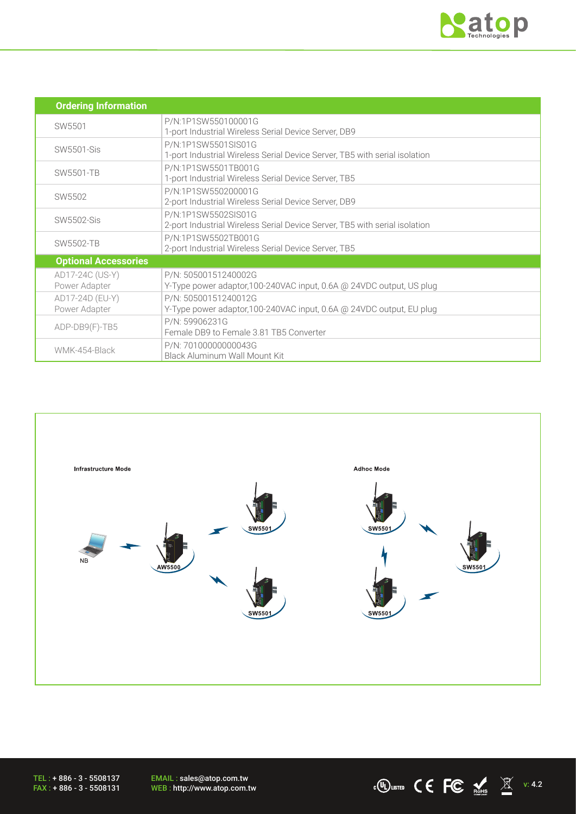

| <b>Ordering Information</b>      |                                                                                                   |  |  |
|----------------------------------|---------------------------------------------------------------------------------------------------|--|--|
| SW5501                           | P/N:1P1SW550100001G<br>1-port Industrial Wireless Serial Device Server, DB9                       |  |  |
| SW5501-Sis                       | P/N:1P1SW5501SIS01G<br>1-port Industrial Wireless Serial Device Server, TB5 with serial isolation |  |  |
| SW5501-TB                        | P/N:1P1SW5501TB001G<br>1-port Industrial Wireless Serial Device Server, TB5                       |  |  |
| SW5502                           | P/N:1P1SW550200001G<br>2-port Industrial Wireless Serial Device Server, DB9                       |  |  |
| SW5502-Sis                       | P/N:1P1SW5502SIS01G<br>2-port Industrial Wireless Serial Device Server, TB5 with serial isolation |  |  |
| <b>SW5502-TB</b>                 | P/N:1P1SW5502TB001G<br>2-port Industrial Wireless Serial Device Server, TB5                       |  |  |
| <b>Optional Accessories</b>      |                                                                                                   |  |  |
| AD17-24C (US-Y)<br>Power Adapter | P/N: 50500151240002G<br>Y-Type power adaptor, 100-240VAC input, 0.6A @ 24VDC output, US plug      |  |  |
| AD17-24D (EU-Y)<br>Power Adapter | P/N: 50500151240012G<br>Y-Type power adaptor, 100-240VAC input, 0.6A @ 24VDC output, EU plug      |  |  |
| ADP-DB9(F)-TB5                   | P/N: 59906231G<br>Female DB9 to Female 3.81 TB5 Converter                                         |  |  |
| WMK-454-Black                    | P/N: 70100000000043G<br>Black Aluminum Wall Mount Kit                                             |  |  |



EMAIL : sales@atop.com.tw